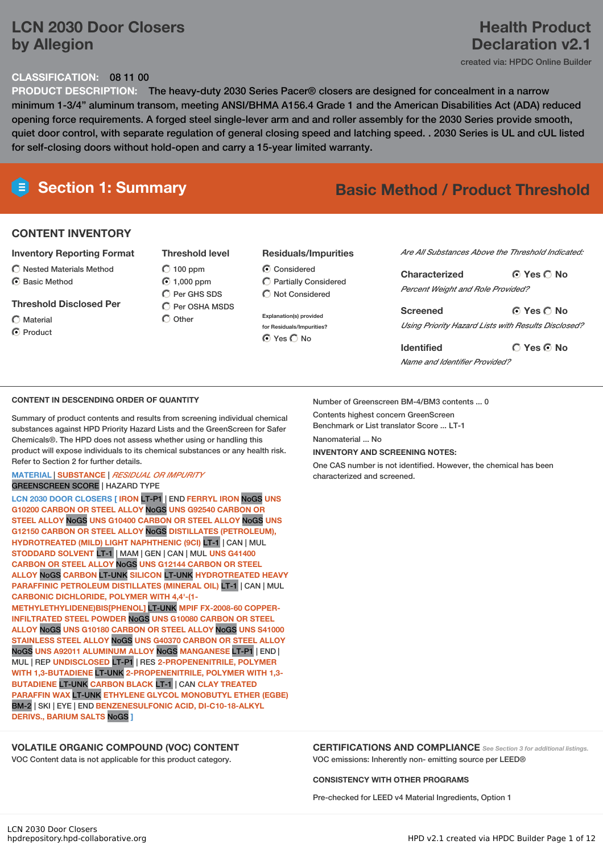# **LCN 2030 Door Closers by Allegion**

# **Health Product Declaration v2.1**

created via: HPDC Online Builder

### **CLASSIFICATION:** 08 11 00

**PRODUCT DESCRIPTION:** The heavy-duty 2030 Series Pacer® closers are designed for concealment in a narrow minimum 1-3/4" aluminum transom, meeting ANSI/BHMA A156.4 Grade 1 and the American Disabilities Act (ADA) reduced opening force requirements. A forged steel single-lever arm and and roller assembly for the 2030 Series provide smooth, quiet door control, with separate regulation of general closing speed and latching speed. . 2030 Series is UL and cUL listed for self-closing doors without hold-open and carry a 15-year limited warranty.

# **Section 1: Summary Basic Method / Product Threshold**

### **CONTENT INVENTORY**

#### **Inventory Reporting Format**

 $\bigcirc$  Nested Materials Method C Basic Method

#### **Threshold Disclosed Per**

- Material
- C Product

**Threshold level**  $O$  100 ppm 1,000 ppm  $\bigcap$  Per GHS SDS  $\bigcirc$  Per OSHA MSDS

 $\bigcap$  Other

#### **Residuals/Impurities**

- **C** Considered Partially Considered  $\bigcap$  Not Considered
- **Explanation(s) provided for Residuals/Impurities?** ⊙ Yes O No

*Are All Substances Above the Threshold Indicated:*

**Yes No Characterized** *Percent Weight and Role Provided?*

**Yes No Screened** *Using Priority Hazard Lists with Results Disclosed?*

**Yes No Identified** *Name and Identifier Provided?*

#### **CONTENT IN DESCENDING ORDER OF QUANTITY**

Summary of product contents and results from screening individual chemical substances against HPD Priority Hazard Lists and the GreenScreen for Safer Chemicals®. The HPD does not assess whether using or handling this product will expose individuals to its chemical substances or any health risk. Refer to Section 2 for further details.

## **MATERIAL** | **SUBSTANCE** | *RESIDUAL OR IMPURITY*

# GREENSCREEN SCORE | HAZARD TYPE

**LCN 2030 DOOR CLOSERS [ IRON** LT-P1 | END **FERRYL IRON** NoGS **UNS G10200 CARBON OR STEEL ALLOY** NoGS **UNS G92540 CARBON OR STEEL ALLOY** NoGS **UNS G10400 CARBON OR STEEL ALLOY** NoGS **UNS G12150 CARBON OR STEEL ALLOY** NoGS **DISTILLATES (PETROLEUM), HYDROTREATED (MILD) LIGHT NAPHTHENIC (9CI)** LT-1 | CAN | MUL **STODDARD SOLVENT** LT-1 | MAM | GEN | CAN | MUL **UNS G41400 CARBON OR STEEL ALLOY** NoGS **UNS G12144 CARBON OR STEEL ALLOY** NoGS **CARBON** LT-UNK **SILICON** LT-UNK **HYDROTREATED HEAVY PARAFFINIC PETROLEUM DISTILLATES (MINERAL OIL)** LT-1 | CAN | MUL **CARBONIC DICHLORIDE, POLYMER WITH 4,4'-(1- METHYLETHYLIDENE)BIS[PHENOL]** LT-UNK **MPIF FX-2008-60 COPPER-INFILTRATED STEEL POWDER** NoGS **UNS G10080 CARBON OR STEEL ALLOY** NoGS **UNS G10180 CARBON OR STEEL ALLOY** NoGS **UNS S41000 STAINLESS STEEL ALLOY** NoGS **UNS G40370 CARBON OR STEEL ALLOY** NoGS **UNS A92011 ALUMINUM ALLOY** NoGS **MANGANESE** LT-P1 | END | MUL | REP **UNDISCLOSED** LT-P1 | RES **2-PROPENENITRILE, POLYMER WITH 1,3-BUTADIENE** LT-UNK **2-PROPENENITRILE, POLYMER WITH 1,3- BUTADIENE** LT-UNK **CARBON BLACK** LT-1 | CAN **CLAY TREATED PARAFFIN WAX** LT-UNK **ETHYLENE GLYCOL MONOBUTYL ETHER (EGBE)** BM-2 | SKI | EYE | END **BENZENESULFONIC ACID, DI-C10-18-ALKYL**

**DERIVS., BARIUM SALTS** NoGS **]**

### **VOLATILE ORGANIC COMPOUND (VOC) CONTENT**

VOC Content data is not applicable for this product category.

Number of Greenscreen BM-4/BM3 contents ... 0

Contents highest concern GreenScreen

Benchmark or List translator Score ... LT-1

Nanomaterial No

#### **INVENTORY AND SCREENING NOTES:**

One CAS number is not identified. However, the chemical has been characterized and screened.

### **CERTIFICATIONS AND COMPLIANCE** *See Section <sup>3</sup> for additional listings.*

VOC emissions: Inherently non- emitting source per LEED®

**CONSISTENCY WITH OTHER PROGRAMS**

Pre-checked for LEED v4 Material Ingredients, Option 1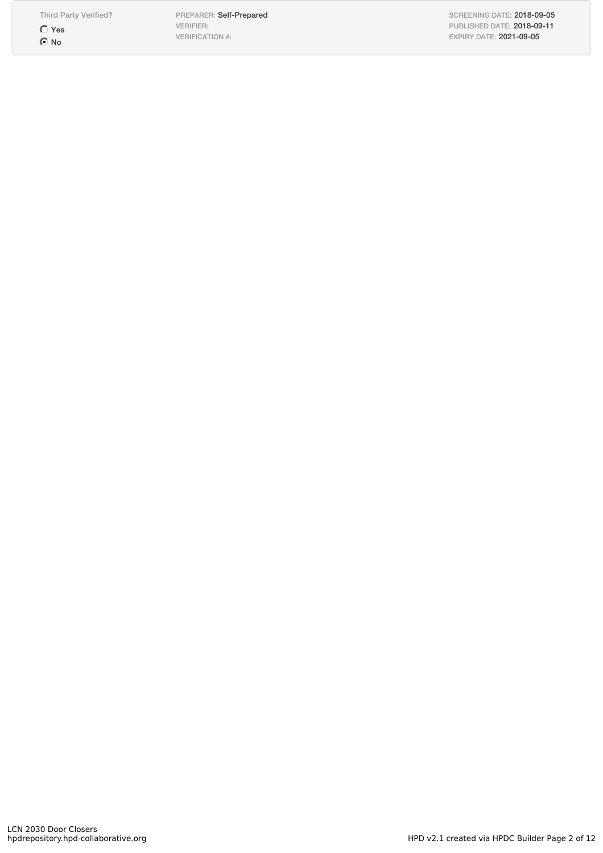Third Party Verified? Yes  $\odot$  No

PREPARER: Self-Prepared VERIFIER: VERIFICATION #:

SCREENING DATE: 2018-09-05 PUBLISHED DATE: 2018-09-11 EXPIRY DATE: 2021-09-05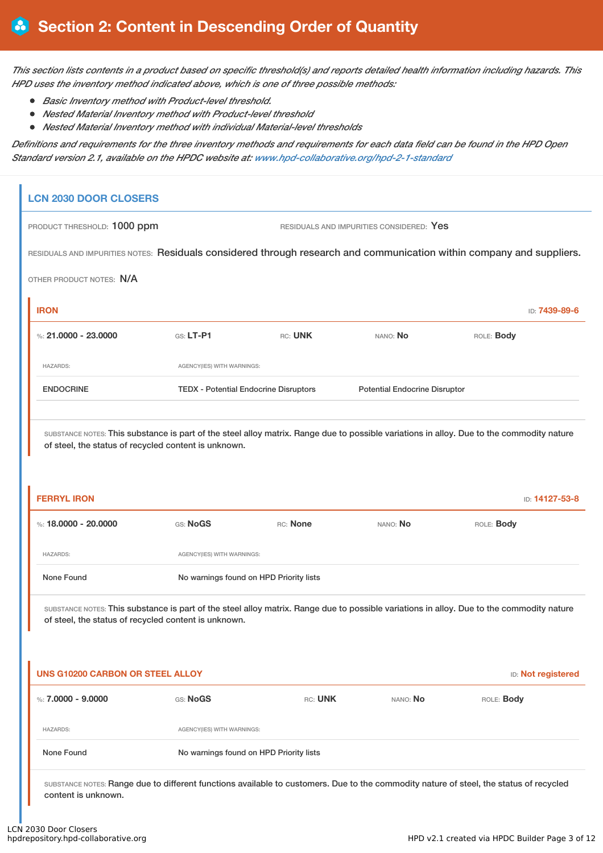This section lists contents in a product based on specific threshold(s) and reports detailed health information including hazards. This *HPD uses the inventory method indicated above, which is one of three possible methods:*

- *Basic Inventory method with Product-level threshold.*
- *Nested Material Inventory method with Product-level threshold*
- *Nested Material Inventory method with individual Material-level thresholds*

Definitions and requirements for the three inventory methods and requirements for each data field can be found in the HPD Open *Standard version 2.1, available on the HPDC website at: www.hpd-collaborative.org/hpd-2-1-standard*

# **LCN 2030 DOOR CLOSERS**

PRODUCT THRESHOLD: 1000 ppm RESIDUALS AND IMPURITIES CONSIDERED: Yes

RESIDUALS AND IMPURITIES NOTES: Residuals considered through research and communication within company and suppliers.

OTHER PRODUCT NOTES: N/A

| <b>IRON</b>          |                                              |         |                                      | ID: <b>7439-89-6</b> |
|----------------------|----------------------------------------------|---------|--------------------------------------|----------------------|
| %: 21,0000 - 23,0000 | $GS: LT-P1$                                  | RC: UNK | NANO: No                             | ROLE: Body           |
| <b>HAZARDS:</b>      | AGENCY(IES) WITH WARNINGS:                   |         |                                      |                      |
| <b>ENDOCRINE</b>     | <b>TEDX</b> - Potential Endocrine Disruptors |         | <b>Potential Endocrine Disruptor</b> |                      |
|                      |                                              |         |                                      |                      |

SUBSTANCE NOTES: This substance is part of the steel alloy matrix. Range due to possible variations in alloy. Due to the commodity nature of steel, the status of recycled content is unknown.

| <b>FERRYL IRON</b>   |                                         |          |          | ID: 14127-53-8 |  |
|----------------------|-----------------------------------------|----------|----------|----------------|--|
| %: 18.0000 - 20.0000 | GS: NoGS                                | RC: None | NANO: No | ROLE: Body     |  |
| <b>HAZARDS:</b>      | AGENCY(IES) WITH WARNINGS:              |          |          |                |  |
| None Found           | No warnings found on HPD Priority lists |          |          |                |  |

SUBSTANCE NOTES: This substance is part of the steel alloy matrix. Range due to possible variations in alloy. Due to the commodity nature of steel, the status of recycled content is unknown.

| <b>UNS G10200 CARBON OR STEEL ALLOY</b> |                                         |         |          | <b>ID:</b> Not registered |
|-----------------------------------------|-----------------------------------------|---------|----------|---------------------------|
| %: 7,0000 - 9,0000                      | GS: NoGS                                | RC: UNK | NANO: No | ROLE: <b>Body</b>         |
| <b>HAZARDS:</b>                         | AGENCY(IES) WITH WARNINGS:              |         |          |                           |
| None Found                              | No warnings found on HPD Priority lists |         |          |                           |
|                                         |                                         |         |          |                           |

SUBSTANCE NOTES: Range due to different functions available to customers. Due to the commodity nature of steel, the status of recycled content is unknown.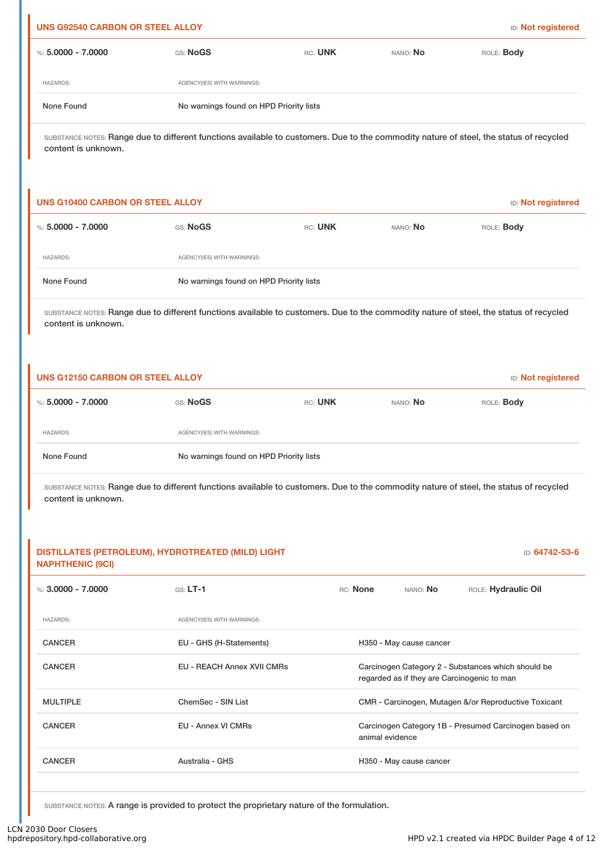| <b>UNS G92540 CARBON OR STEEL ALLOY</b>                                                                                                                                                                                               |                                                                                                                                        |         |                                             | <b>ID:</b> Not registered                             |  |
|---------------------------------------------------------------------------------------------------------------------------------------------------------------------------------------------------------------------------------------|----------------------------------------------------------------------------------------------------------------------------------------|---------|---------------------------------------------|-------------------------------------------------------|--|
| %: $5.0000 - 7.0000$                                                                                                                                                                                                                  | GS: NoGS                                                                                                                               | RC: UNK | NANO: No                                    | ROLE: Body                                            |  |
| <b>HAZARDS:</b>                                                                                                                                                                                                                       | AGENCY(IES) WITH WARNINGS:                                                                                                             |         |                                             |                                                       |  |
| None Found                                                                                                                                                                                                                            | No warnings found on HPD Priority lists                                                                                                |         |                                             |                                                       |  |
| content is unknown.                                                                                                                                                                                                                   | SUBSTANCE NOTES: Range due to different functions available to customers. Due to the commodity nature of steel, the status of recycled |         |                                             |                                                       |  |
| <b>UNS G10400 CARBON OR STEEL ALLOY</b>                                                                                                                                                                                               |                                                                                                                                        |         |                                             | <b>ID:</b> Not registered                             |  |
| %: $5.0000 - 7.0000$                                                                                                                                                                                                                  | GS: NoGS                                                                                                                               | RC: UNK | NANO: No                                    | ROLE: Body                                            |  |
| <b>HAZARDS:</b>                                                                                                                                                                                                                       | AGENCY(IES) WITH WARNINGS:                                                                                                             |         |                                             |                                                       |  |
| None Found                                                                                                                                                                                                                            | No warnings found on HPD Priority lists                                                                                                |         |                                             |                                                       |  |
| content is unknown.                                                                                                                                                                                                                   | SUBSTANCE NOTES: Range due to different functions available to customers. Due to the commodity nature of steel, the status of recycled |         |                                             |                                                       |  |
| <b>UNS G12150 CARBON OR STEEL ALLOY</b>                                                                                                                                                                                               |                                                                                                                                        |         |                                             | <b>ID:</b> Not registered                             |  |
| %: $5.0000 - 7.0000$                                                                                                                                                                                                                  | GS: NoGS                                                                                                                               | RC: UNK | NANO: No                                    | ROLE: Body                                            |  |
| <b>HAZARDS:</b>                                                                                                                                                                                                                       | AGENCY(IES) WITH WARNINGS:                                                                                                             |         |                                             |                                                       |  |
| None Found                                                                                                                                                                                                                            | No warnings found on HPD Priority lists                                                                                                |         |                                             |                                                       |  |
| SUBSTANCE NOTES: Range due to different functions available to customers. Due to the commodity nature of steel, the status of recycled<br>content is unknown.<br>DISTILLATES (PETROLEUM), HYDROTREATED (MILD) LIGHT<br>ID: 64742-53-6 |                                                                                                                                        |         |                                             |                                                       |  |
| <b>NAPHTHENIC (9CI)</b><br>%: $3,0000 - 7,0000$                                                                                                                                                                                       | $GS: LT-1$                                                                                                                             |         | RC: None<br>NANO: No                        | ROLE: Hydraulic Oil                                   |  |
| <b>HAZARDS:</b>                                                                                                                                                                                                                       | AGENCY(IES) WITH WARNINGS:                                                                                                             |         |                                             |                                                       |  |
| <b>CANCER</b>                                                                                                                                                                                                                         | EU - GHS (H-Statements)                                                                                                                |         | H350 - May cause cancer                     |                                                       |  |
| <b>CANCER</b>                                                                                                                                                                                                                         | EU - REACH Annex XVII CMRs                                                                                                             |         | regarded as if they are Carcinogenic to man | Carcinogen Category 2 - Substances which should be    |  |
| <b>MULTIPLE</b>                                                                                                                                                                                                                       | ChemSec - SIN List                                                                                                                     |         |                                             | CMR - Carcinogen, Mutagen &/or Reproductive Toxicant  |  |
| <b>CANCER</b>                                                                                                                                                                                                                         | <b>EU - Annex VI CMRs</b>                                                                                                              |         | animal evidence                             | Carcinogen Category 1B - Presumed Carcinogen based on |  |
| <b>CANCER</b>                                                                                                                                                                                                                         | Australia - GHS                                                                                                                        |         | H350 - May cause cancer                     |                                                       |  |
|                                                                                                                                                                                                                                       |                                                                                                                                        |         |                                             |                                                       |  |

SUBSTANCE NOTES: A range is provided to protect the proprietary nature of the formulation.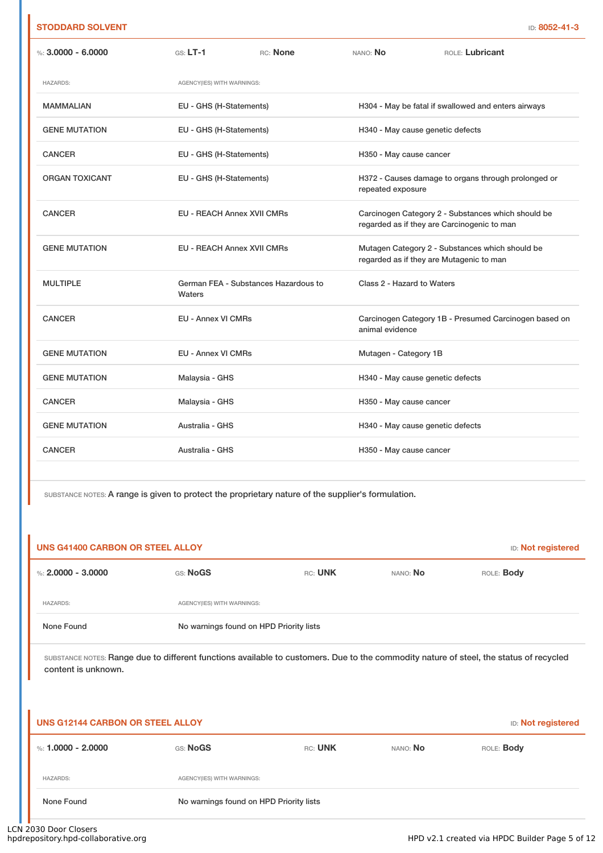### **STODDARD SOLVENT** ID: **8052-41-3**

| %: $3,0000 - 6,0000$  | $GS: LT-1$<br>RC: None                         | NANO: No<br>ROLE: Lubricant                                                                       |
|-----------------------|------------------------------------------------|---------------------------------------------------------------------------------------------------|
| <b>HAZARDS:</b>       | AGENCY(IES) WITH WARNINGS:                     |                                                                                                   |
| <b>MAMMALIAN</b>      | EU - GHS (H-Statements)                        | H304 - May be fatal if swallowed and enters airways                                               |
| <b>GENE MUTATION</b>  | EU - GHS (H-Statements)                        | H340 - May cause genetic defects                                                                  |
| <b>CANCER</b>         | EU - GHS (H-Statements)                        | H350 - May cause cancer                                                                           |
| <b>ORGAN TOXICANT</b> | EU - GHS (H-Statements)                        | H372 - Causes damage to organs through prolonged or<br>repeated exposure                          |
| <b>CANCER</b>         | <b>EU - REACH Annex XVII CMRs</b>              | Carcinogen Category 2 - Substances which should be<br>regarded as if they are Carcinogenic to man |
| <b>GENE MUTATION</b>  | <b>EU - REACH Annex XVII CMRs</b>              | Mutagen Category 2 - Substances which should be<br>regarded as if they are Mutagenic to man       |
| <b>MULTIPLE</b>       | German FEA - Substances Hazardous to<br>Waters | Class 2 - Hazard to Waters                                                                        |
| <b>CANCER</b>         | <b>EU - Annex VI CMRs</b>                      | Carcinogen Category 1B - Presumed Carcinogen based on<br>animal evidence                          |
| <b>GENE MUTATION</b>  | <b>EU - Annex VI CMRs</b>                      | Mutagen - Category 1B                                                                             |
| <b>GENE MUTATION</b>  | Malaysia - GHS                                 | H340 - May cause genetic defects                                                                  |
| <b>CANCER</b>         | Malaysia - GHS                                 | H350 - May cause cancer                                                                           |
| <b>GENE MUTATION</b>  | Australia - GHS                                | H340 - May cause genetic defects                                                                  |
| <b>CANCER</b>         | Australia - GHS                                | H350 - May cause cancer                                                                           |

SUBSTANCE NOTES: A range is given to protect the proprietary nature of the supplier's formulation.

| <b>UNS G41400 CARBON OR STEEL ALLOY</b> |                                         |         |          | <b>ID:</b> Not registered |
|-----------------------------------------|-----------------------------------------|---------|----------|---------------------------|
| %: $2.0000 - 3.0000$                    | GS: NoGS                                | RC: UNK | NANO: No | ROLE: Body                |
| <b>HAZARDS:</b>                         | AGENCY(IES) WITH WARNINGS:              |         |          |                           |
| None Found                              | No warnings found on HPD Priority lists |         |          |                           |
|                                         |                                         |         |          |                           |

SUBSTANCE NOTES: Range due to different functions available to customers. Due to the commodity nature of steel, the status of recycled content is unknown.

| UNS G12144 CARBON OR STEEL ALLOY |                            |                                         |          | <b>ID:</b> Not registered |
|----------------------------------|----------------------------|-----------------------------------------|----------|---------------------------|
| %: 1.0000 - 2.0000               | GS: NoGS                   | RC: UNK                                 | NANO: No | ROLE: <b>Body</b>         |
| <b>HAZARDS:</b>                  | AGENCY(IES) WITH WARNINGS: |                                         |          |                           |
| None Found                       |                            | No warnings found on HPD Priority lists |          |                           |

i.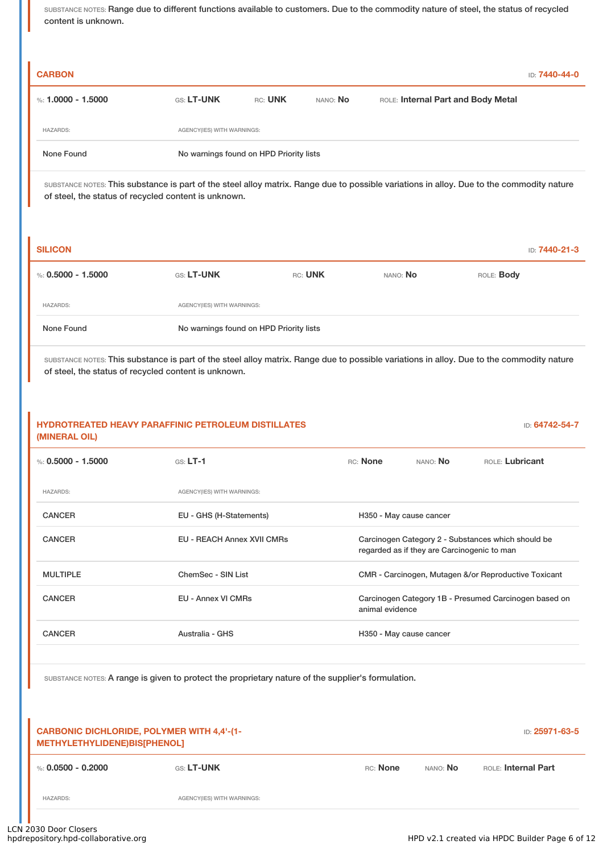SUBSTANCE NOTES: Range due to different functions available to customers. Due to the commodity nature of steel, the status of recycled content is unknown.

| <b>CARBON</b>      |                                         |         |          |                                    | ID: 7440-44-0 |
|--------------------|-----------------------------------------|---------|----------|------------------------------------|---------------|
| %: 1.0000 - 1.5000 | <b>GS: LT-UNK</b>                       | RC: UNK | NANO: No | ROLE: Internal Part and Body Metal |               |
| <b>HAZARDS:</b>    | AGENCY(IES) WITH WARNINGS:              |         |          |                                    |               |
| None Found         | No warnings found on HPD Priority lists |         |          |                                    |               |

SUBSTANCE NOTES: This substance is part of the steel alloy matrix. Range due to possible variations in alloy. Due to the commodity nature of steel, the status of recycled content is unknown.

| <b>SILICON</b>     |                                         |         |          | <b>ID: 7440-21-3</b> |
|--------------------|-----------------------------------------|---------|----------|----------------------|
| %: 0.5000 - 1.5000 | <b>GS: LT-UNK</b>                       | RC: UNK | NANO: No | ROLE: <b>Body</b>    |
| <b>HAZARDS:</b>    | AGENCY(IES) WITH WARNINGS:              |         |          |                      |
| None Found         | No warnings found on HPD Priority lists |         |          |                      |

SUBSTANCE NOTES: This substance is part of the steel alloy matrix. Range due to possible variations in alloy. Due to the commodity nature of steel, the status of recycled content is unknown.

# **HYDROTREATED HEAVY PARAFFINIC PETROLEUM DISTILLATES (MINERAL OIL)** ID: **64742-54-7** %: **0.5000 - 1.5000** GS: **LT-1** RC: **None** NANO: **No** ROLE: **Lubricant** HAZARDS: AGENCY(IES) WITH WARNINGS: CANCER EU - GHS (H-Statements) H350 - May cause cancer CANCER EU - REACH Annex XVII CMRs Carcinogen Category 2 - Substances which should be regarded as if they are Carcinogenic to man MULTIPLE ChemSec - SIN List CMR - Carcinogen, Mutagen &/or Reproductive Toxicant CANCER **EU - Annex VI CMRs** Carcinogen Category 1B - Presumed Carcinogen based on animal evidence CANCER **Australia - GHS** Australia - GHS H350 - May cause cancer

SUBSTANCE NOTES: A range is given to protect the proprietary nature of the supplier's formulation.

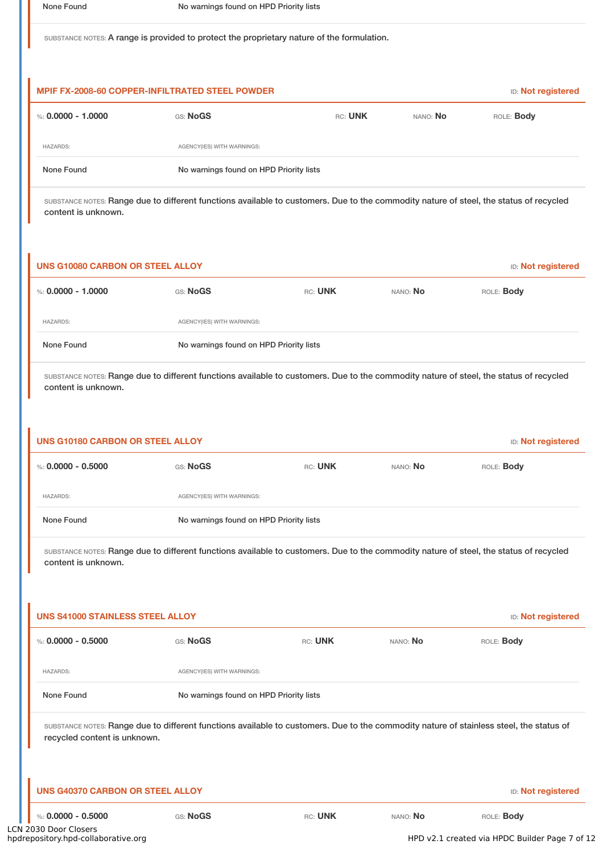SUBSTANCE NOTES: A range is provided to protect the proprietary nature of the formulation.

| <b>MPIF FX-2008-60 COPPER-INFILTRATED STEEL POWDER</b> |                                         |         |          | <b>ID:</b> Not registered |
|--------------------------------------------------------|-----------------------------------------|---------|----------|---------------------------|
| %: 0.0000 - 1.0000                                     | GS: NoGS                                | RC: UNK | NANO: No | ROLE: <b>Body</b>         |
| <b>HAZARDS:</b>                                        | AGENCY(IES) WITH WARNINGS:              |         |          |                           |
| None Found                                             | No warnings found on HPD Priority lists |         |          |                           |

SUBSTANCE NOTES: Range due to different functions available to customers. Due to the commodity nature of steel, the status of recycled content is unknown.

| <b>UNS G10080 CARBON OR STEEL ALLOY</b> |                      |                                         |         | <b>ID:</b> Not registered |            |
|-----------------------------------------|----------------------|-----------------------------------------|---------|---------------------------|------------|
|                                         | %: $0.0000 - 1.0000$ | GS: NoGS                                | RC: UNK | NANO: No                  | ROLE: Body |
| <b>HAZARDS:</b>                         |                      | AGENCY(IES) WITH WARNINGS:              |         |                           |            |
|                                         | None Found           | No warnings found on HPD Priority lists |         |                           |            |

SUBSTANCE NOTES: Range due to different functions available to customers. Due to the commodity nature of steel, the status of recycled content is unknown.

| <b>UNS G10180 CARBON OR STEEL ALLOY</b><br><b>ID:</b> Not registered                                                                   |                                         |         |          |                   |
|----------------------------------------------------------------------------------------------------------------------------------------|-----------------------------------------|---------|----------|-------------------|
| %: $0.0000 - 0.5000$                                                                                                                   | GS: NoGS                                | RC: UNK | NANO: No | ROLE: <b>Body</b> |
| <b>HAZARDS:</b>                                                                                                                        | AGENCY(IES) WITH WARNINGS:              |         |          |                   |
| None Found                                                                                                                             | No warnings found on HPD Priority lists |         |          |                   |
| SUBSTANCE NOTES: Range due to different functions available to customers. Due to the commodity nature of steel, the status of recycled |                                         |         |          |                   |

content is unknown.

| <b>UNS S41000 STAINLESS STEEL ALLOY</b> | <b>ID:</b> Not registered               |         |          |                                                                                                                                         |
|-----------------------------------------|-----------------------------------------|---------|----------|-----------------------------------------------------------------------------------------------------------------------------------------|
| %: $0.0000 - 0.5000$                    | GS: NoGS                                | RC: UNK | NANO: No | ROLE: <b>Body</b>                                                                                                                       |
| <b>HAZARDS:</b>                         | AGENCY(IES) WITH WARNINGS:              |         |          |                                                                                                                                         |
| None Found                              | No warnings found on HPD Priority lists |         |          |                                                                                                                                         |
| recycled content is unknown.            |                                         |         |          | SUBSTANCE NOTES: Range due to different functions available to customers. Due to the commodity nature of stainless steel, the status of |

| UNS G40370 CARBON OR STEEL ALLOY |  |
|----------------------------------|--|
|----------------------------------|--|

I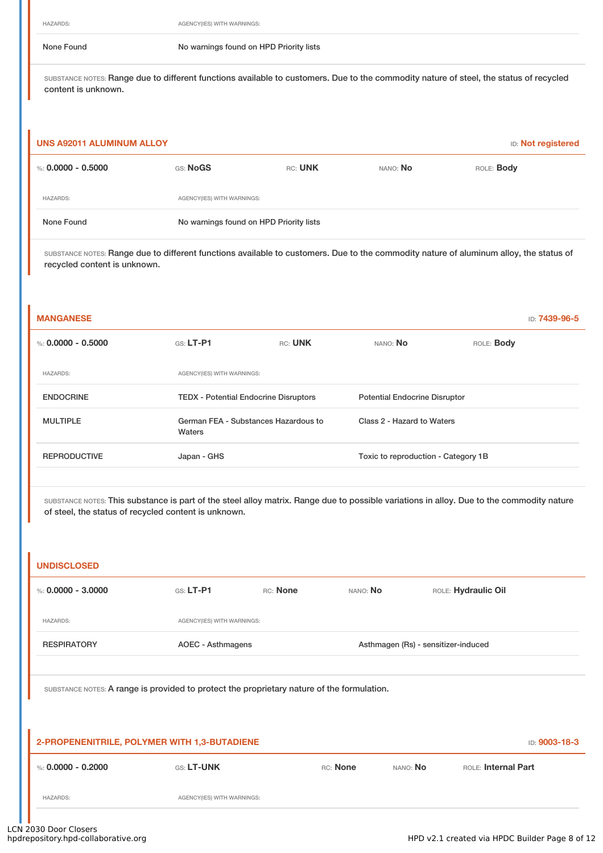HAZARDS: AGENCY(IES) WITH WARNINGS:

None Found Nowarnings found on HPD Priority lists

SUBSTANCE NOTES: Range due to different functions available to customers. Due to the commodity nature of steel, the status of recycled content is unknown.

| <b>UNS A92011 ALUMINUM ALLOY</b><br><b>ID:</b> Not registered |                            |                                         |          |                   |  |  |
|---------------------------------------------------------------|----------------------------|-----------------------------------------|----------|-------------------|--|--|
| %: $0.0000 - 0.5000$                                          | GS: NoGS                   | RC: UNK                                 | NANO: No | ROLE: <b>Body</b> |  |  |
| <b>HAZARDS:</b>                                               | AGENCY(IES) WITH WARNINGS: |                                         |          |                   |  |  |
| None Found                                                    |                            | No warnings found on HPD Priority lists |          |                   |  |  |

SUBSTANCE NOTES: Range due to different functions available to customers. Due to the commodity nature of aluminum alloy, the status of recycled content is unknown.

| <b>MANGANESE</b>     |                                                |         |                                      |                   | ID: <b>7439-96-5</b> |
|----------------------|------------------------------------------------|---------|--------------------------------------|-------------------|----------------------|
| %: $0.0000 - 0.5000$ | $GS: LT-PI$                                    | RC: UNK | NANO: No                             | ROLE: <b>Body</b> |                      |
| <b>HAZARDS:</b>      | AGENCY(IES) WITH WARNINGS:                     |         |                                      |                   |                      |
| <b>ENDOCRINE</b>     | <b>TEDX</b> - Potential Endocrine Disruptors   |         | <b>Potential Endocrine Disruptor</b> |                   |                      |
| <b>MULTIPLE</b>      | German FEA - Substances Hazardous to<br>Waters |         | Class 2 - Hazard to Waters           |                   |                      |
| <b>REPRODUCTIVE</b>  | Japan - GHS                                    |         | Toxic to reproduction - Category 1B  |                   |                      |
|                      |                                                |         |                                      |                   |                      |

SUBSTANCE NOTES: This substance is part of the steel alloy matrix. Range due to possible variations in alloy. Due to the commodity nature of steel, the status of recycled content is unknown.

| <b>UNDISCLOSED</b>   |                                                                                            |          |          |                                     |                     |               |
|----------------------|--------------------------------------------------------------------------------------------|----------|----------|-------------------------------------|---------------------|---------------|
| %: $0.0000 - 3.0000$ | $G.S. LT-P1$                                                                               | RC: None | NANO: No |                                     | ROLE: Hydraulic Oil |               |
| <b>HAZARDS:</b>      | AGENCY(IES) WITH WARNINGS:                                                                 |          |          |                                     |                     |               |
| <b>RESPIRATORY</b>   | AOEC - Asthmagens                                                                          |          |          | Asthmagen (Rs) - sensitizer-induced |                     |               |
|                      | SUBSTANCE NOTES: A range is provided to protect the proprietary nature of the formulation. |          |          |                                     |                     |               |
|                      | 2-PROPENENITRILE, POLYMER WITH 1,3-BUTADIENE                                               |          |          |                                     |                     | ID: 9003-18-3 |
| %: $0.0000 - 0.2000$ | GS: LT-UNK                                                                                 |          | RC: None | NANO: No                            | ROLE: Internal Part |               |
| <b>HAZARDS:</b>      | AGENCY(IES) WITH WARNINGS:                                                                 |          |          |                                     |                     |               |
|                      |                                                                                            |          |          |                                     |                     |               |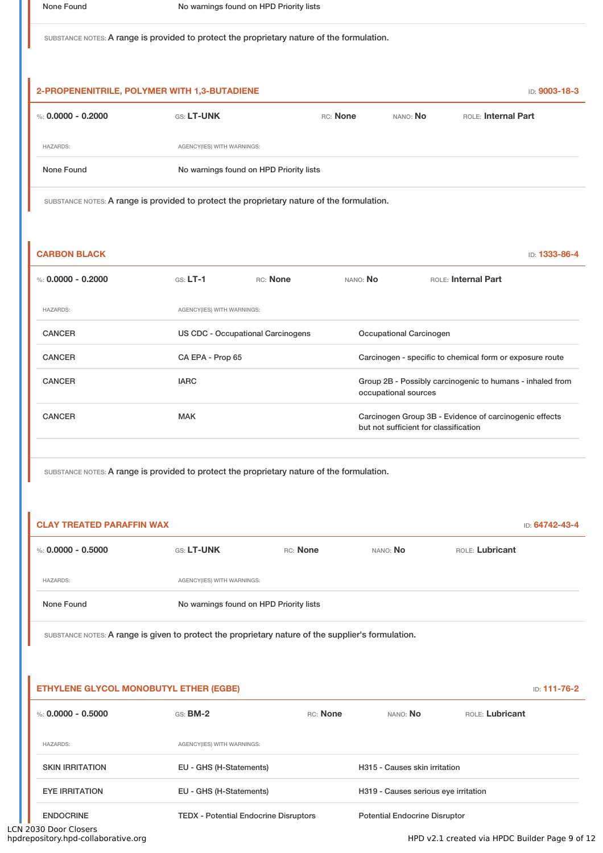SUBSTANCE NOTES: A range is provided to protect the proprietary nature of the formulation.

| 2-PROPENENITRILE, POLYMER WITH 1,3-BUTADIENE |                                         |          |                 | <b>ID: 9003-18-3</b> |  |
|----------------------------------------------|-----------------------------------------|----------|-----------------|----------------------|--|
| %: 0.0000 - 0.2000                           | <b>GS: LT-UNK</b>                       | RC: None | NANO: <b>No</b> | ROLE: Internal Part  |  |
| <b>HAZARDS:</b>                              | AGENCY(IES) WITH WARNINGS:              |          |                 |                      |  |
| None Found                                   | No warnings found on HPD Priority lists |          |                 |                      |  |

SUBSTANCE NOTES: A range is provided to protect the proprietary nature of the formulation.

| <b>CARBON BLACK</b> |                                   |          |                         | <b>ID: 1333-86-4</b>                                                                            |
|---------------------|-----------------------------------|----------|-------------------------|-------------------------------------------------------------------------------------------------|
| %: 0.0000 - 0.2000  | $GS: LT-1$                        | RC: None | NANO: No                | ROLE: Internal Part                                                                             |
| <b>HAZARDS:</b>     | AGENCY(IES) WITH WARNINGS:        |          |                         |                                                                                                 |
| <b>CANCER</b>       | US CDC - Occupational Carcinogens |          | Occupational Carcinogen |                                                                                                 |
| <b>CANCER</b>       | CA EPA - Prop 65                  |          |                         | Carcinogen - specific to chemical form or exposure route                                        |
| <b>CANCER</b>       | <b>IARC</b>                       |          | occupational sources    | Group 2B - Possibly carcinogenic to humans - inhaled from                                       |
| <b>CANCER</b>       | <b>MAK</b>                        |          |                         | Carcinogen Group 3B - Evidence of carcinogenic effects<br>but not sufficient for classification |
|                     |                                   |          |                         |                                                                                                 |

SUBSTANCE NOTES: A range is provided to protect the proprietary nature of the formulation.

| <b>CLAY TREATED PARAFFIN WAX</b> |                   |                                         |          |                 |  |  |
|----------------------------------|-------------------|-----------------------------------------|----------|-----------------|--|--|
| %: 0.0000 - 0.5000               | <b>GS: LT-UNK</b> | RC: None                                | NANO: No | ROLE: Lubricant |  |  |
| <b>HAZARDS:</b>                  |                   | AGENCY(IES) WITH WARNINGS:              |          |                 |  |  |
| None Found                       |                   | No warnings found on HPD Priority lists |          |                 |  |  |

SUBSTANCE NOTES: A range is given to protect the proprietary nature of the supplier's formulation.

| ETHYLENE GLYCOL MONOBUTYL ETHER (EGBE) |                                              |          |                                      |                 | <b>ID: 111-76-2</b> |
|----------------------------------------|----------------------------------------------|----------|--------------------------------------|-----------------|---------------------|
| %: $0.0000 - 0.5000$                   | $GS:$ BM-2                                   | RC: None | NANO: NO                             | ROLE: Lubricant |                     |
| <b>HAZARDS:</b>                        | AGENCY(IES) WITH WARNINGS:                   |          |                                      |                 |                     |
| <b>SKIN IRRITATION</b>                 | EU - GHS (H-Statements)                      |          | H315 - Causes skin irritation        |                 |                     |
| <b>EYE IRRITATION</b>                  | EU - GHS (H-Statements)                      |          | H319 - Causes serious eye irritation |                 |                     |
| <b>ENDOCRINE</b>                       | <b>TEDX</b> - Potential Endocrine Disruptors |          | <b>Potential Endocrine Disruptor</b> |                 |                     |

LCN 2030 Door Closers<br>hpdrepository.hpd-collaborative.org

HPD v2.1 created via HPDC Builder Page 9 of 12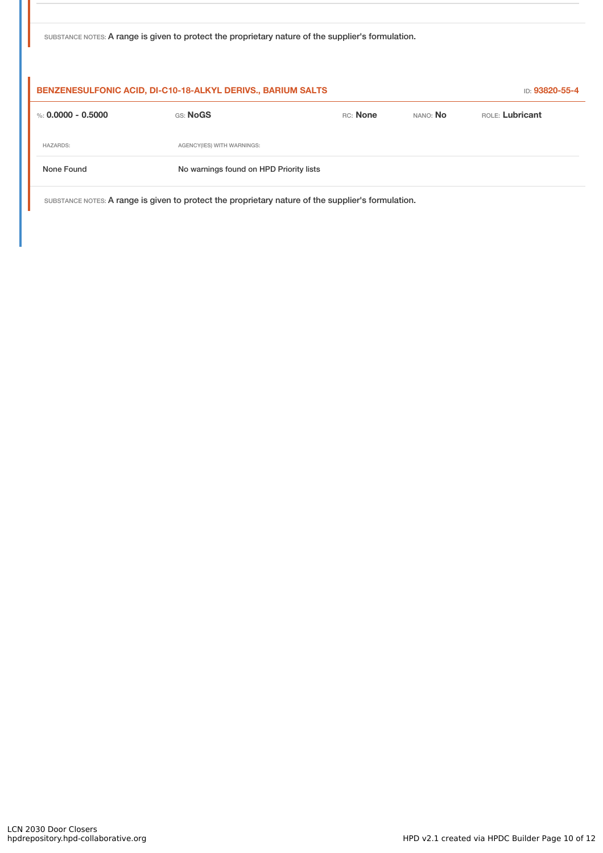|  |  | SUBSTANCE NOTES: A range is given to protect the proprietary nature of the supplier's formulation. |
|--|--|----------------------------------------------------------------------------------------------------|

| BENZENESULFONIC ACID, DI-C10-18-ALKYL DERIVS., BARIUM SALTS                                        | ID: 93820-55-4                          |          |                 |                 |  |
|----------------------------------------------------------------------------------------------------|-----------------------------------------|----------|-----------------|-----------------|--|
| %: $0.0000 - 0.5000$                                                                               | GS: NoGS                                | RC: None | NANO: <b>No</b> | ROLE: Lubricant |  |
| <b>HAZARDS:</b>                                                                                    | AGENCY(IES) WITH WARNINGS:              |          |                 |                 |  |
| None Found                                                                                         | No warnings found on HPD Priority lists |          |                 |                 |  |
| SUBSTANCE NOTES: A range is given to protect the proprietary nature of the supplier's formulation. |                                         |          |                 |                 |  |

LCN 2030 Door Closers<br>hpdrepository.hpd-collaborative.org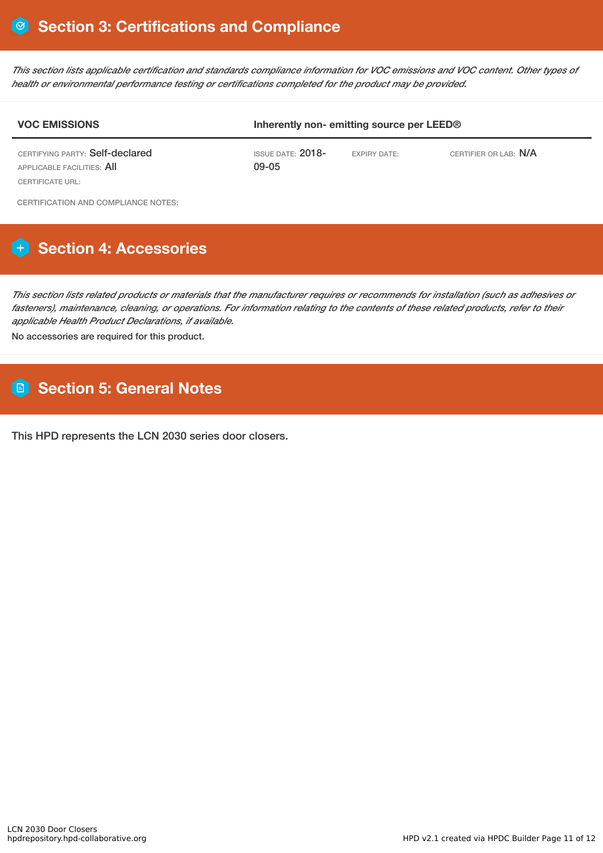This section lists applicable certification and standards compliance information for VOC emissions and VOC content. Other types of *health or environmental performance testing or certifications completed for the product may be provided.*

# **VOC EMISSIONS Inherently non- emitting source per LEED®** CERTIFYING PARTY: Self-declared APPLICABLE FACILITIES: All CERTIFICATE URL: ISSUE DATE: 2018- 09-05 EXPIRY DATE: CERTIFIER OR LAB: N/A

CERTIFICATION AND COMPLIANCE NOTES:

# **Section 4: Accessories**

This section lists related products or materials that the manufacturer requires or recommends for installation (such as adhesives or fasteners), maintenance, cleaning, or operations. For information relating to the contents of these related products, refer to their *applicable Health Product Declarations, if available.*

No accessories are required for this product.

# **Section 5: General Notes**

This HPD represents the LCN 2030 series door closers.